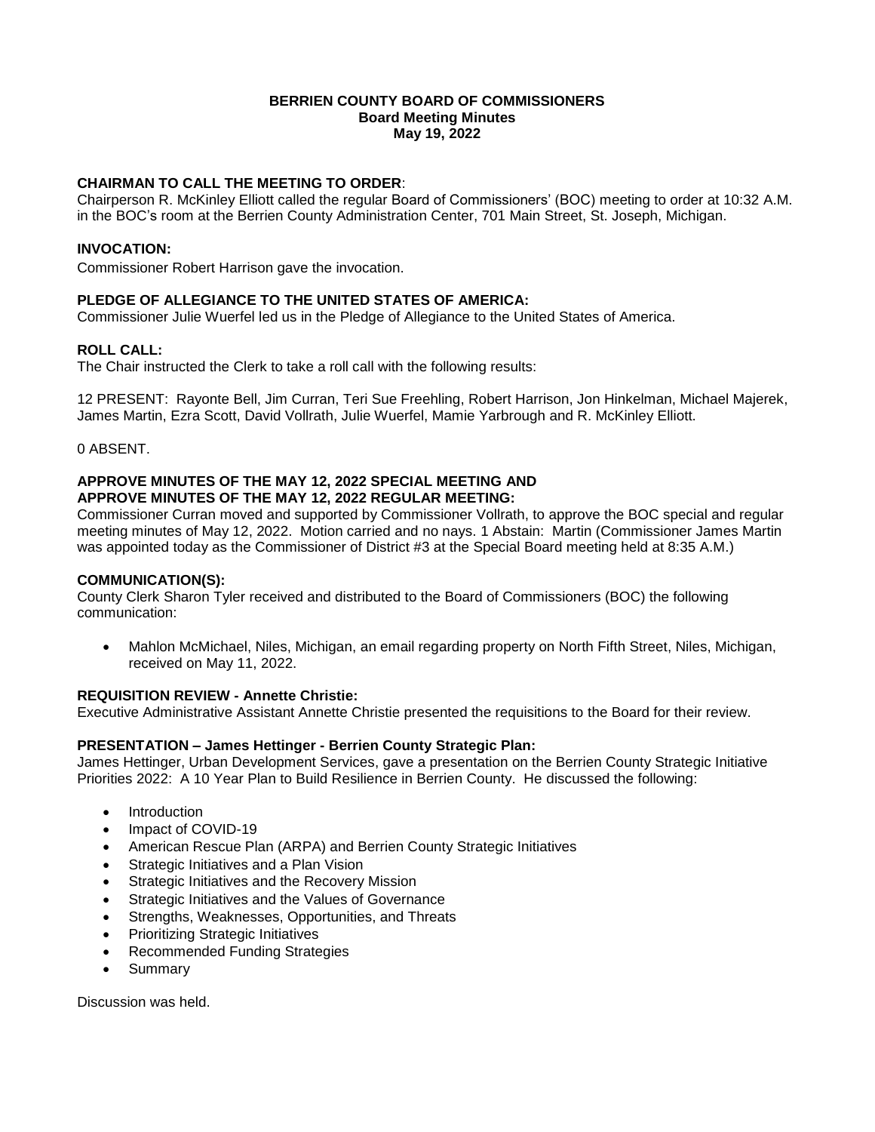### **BERRIEN COUNTY BOARD OF COMMISSIONERS Board Meeting Minutes May 19, 2022**

# **CHAIRMAN TO CALL THE MEETING TO ORDER**:

Chairperson R. McKinley Elliott called the regular Board of Commissioners' (BOC) meeting to order at 10:32 A.M. in the BOC's room at the Berrien County Administration Center, 701 Main Street, St. Joseph, Michigan.

### **INVOCATION:**

Commissioner Robert Harrison gave the invocation.

# **PLEDGE OF ALLEGIANCE TO THE UNITED STATES OF AMERICA:**

Commissioner Julie Wuerfel led us in the Pledge of Allegiance to the United States of America.

# **ROLL CALL:**

The Chair instructed the Clerk to take a roll call with the following results:

12 PRESENT: Rayonte Bell, Jim Curran, Teri Sue Freehling, Robert Harrison, Jon Hinkelman, Michael Majerek, James Martin, Ezra Scott, David Vollrath, Julie Wuerfel, Mamie Yarbrough and R. McKinley Elliott.

0 ABSENT.

# **APPROVE MINUTES OF THE MAY 12, 2022 SPECIAL MEETING AND APPROVE MINUTES OF THE MAY 12, 2022 REGULAR MEETING:**

Commissioner Curran moved and supported by Commissioner Vollrath, to approve the BOC special and regular meeting minutes of May 12, 2022. Motion carried and no nays. 1 Abstain: Martin (Commissioner James Martin was appointed today as the Commissioner of District #3 at the Special Board meeting held at 8:35 A.M.)

# **COMMUNICATION(S):**

County Clerk Sharon Tyler received and distributed to the Board of Commissioners (BOC) the following communication:

 Mahlon McMichael, Niles, Michigan, an email regarding property on North Fifth Street, Niles, Michigan, received on May 11, 2022.

# **REQUISITION REVIEW - Annette Christie:**

Executive Administrative Assistant Annette Christie presented the requisitions to the Board for their review.

# **PRESENTATION – James Hettinger - Berrien County Strategic Plan:**

James Hettinger, Urban Development Services, gave a presentation on the Berrien County Strategic Initiative Priorities 2022: A 10 Year Plan to Build Resilience in Berrien County. He discussed the following:

- Introduction
- Impact of COVID-19
- American Rescue Plan (ARPA) and Berrien County Strategic Initiatives
- Strategic Initiatives and a Plan Vision
- Strategic Initiatives and the Recovery Mission
- Strategic Initiatives and the Values of Governance
- Strengths, Weaknesses, Opportunities, and Threats
- Prioritizing Strategic Initiatives
- Recommended Funding Strategies
- Summary

Discussion was held.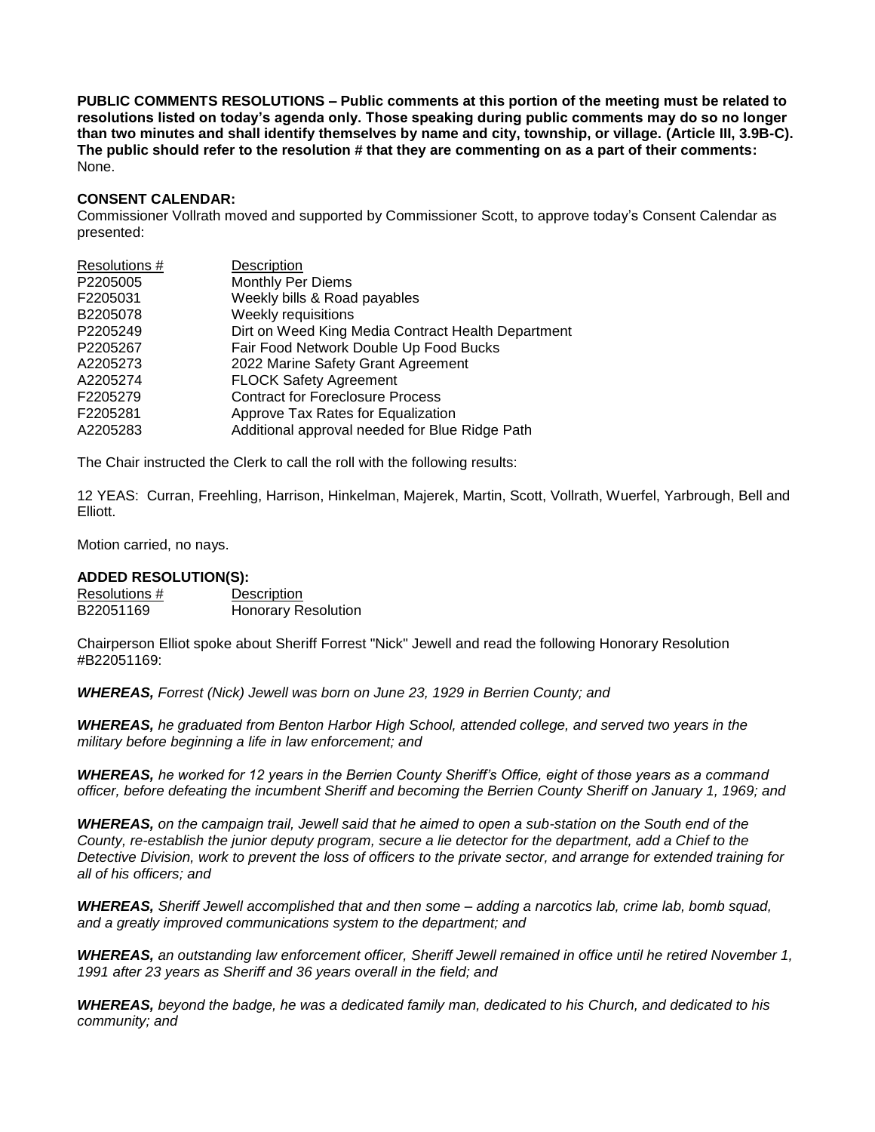**PUBLIC COMMENTS RESOLUTIONS – Public comments at this portion of the meeting must be related to resolutions listed on today's agenda only. Those speaking during public comments may do so no longer than two minutes and shall identify themselves by name and city, township, or village. (Article III, 3.9B-C). The public should refer to the resolution # that they are commenting on as a part of their comments:**  None.

# **CONSENT CALENDAR:**

Commissioner Vollrath moved and supported by Commissioner Scott, to approve today's Consent Calendar as presented:

| Description                                        |
|----------------------------------------------------|
| <b>Monthly Per Diems</b>                           |
| Weekly bills & Road payables                       |
| Weekly requisitions                                |
| Dirt on Weed King Media Contract Health Department |
| Fair Food Network Double Up Food Bucks             |
| 2022 Marine Safety Grant Agreement                 |
| <b>FLOCK Safety Agreement</b>                      |
| <b>Contract for Foreclosure Process</b>            |
| Approve Tax Rates for Equalization                 |
| Additional approval needed for Blue Ridge Path     |
|                                                    |

The Chair instructed the Clerk to call the roll with the following results:

12 YEAS: Curran, Freehling, Harrison, Hinkelman, Majerek, Martin, Scott, Vollrath, Wuerfel, Yarbrough, Bell and Elliott.

Motion carried, no nays.

#### **ADDED RESOLUTION(S):**

| Resolutions # | Description                |
|---------------|----------------------------|
| B22051169     | <b>Honorary Resolution</b> |

Chairperson Elliot spoke about Sheriff Forrest "Nick" Jewell and read the following Honorary Resolution #B22051169:

*WHEREAS, Forrest (Nick) Jewell was born on June 23, 1929 in Berrien County; and* 

*WHEREAS, he graduated from Benton Harbor High School, attended college, and served two years in the military before beginning a life in law enforcement; and* 

*WHEREAS, he worked for 12 years in the Berrien County Sheriff's Office, eight of those years as a command officer, before defeating the incumbent Sheriff and becoming the Berrien County Sheriff on January 1, 1969; and*

*WHEREAS, on the campaign trail, Jewell said that he aimed to open a sub-station on the South end of the County, re-establish the junior deputy program, secure a lie detector for the department, add a Chief to the Detective Division, work to prevent the loss of officers to the private sector, and arrange for extended training for all of his officers; and* 

*WHEREAS, Sheriff Jewell accomplished that and then some – adding a narcotics lab, crime lab, bomb squad, and a greatly improved communications system to the department; and* 

*WHEREAS, an outstanding law enforcement officer, Sheriff Jewell remained in office until he retired November 1, 1991 after 23 years as Sheriff and 36 years overall in the field; and* 

*WHEREAS, beyond the badge, he was a dedicated family man, dedicated to his Church, and dedicated to his community; and*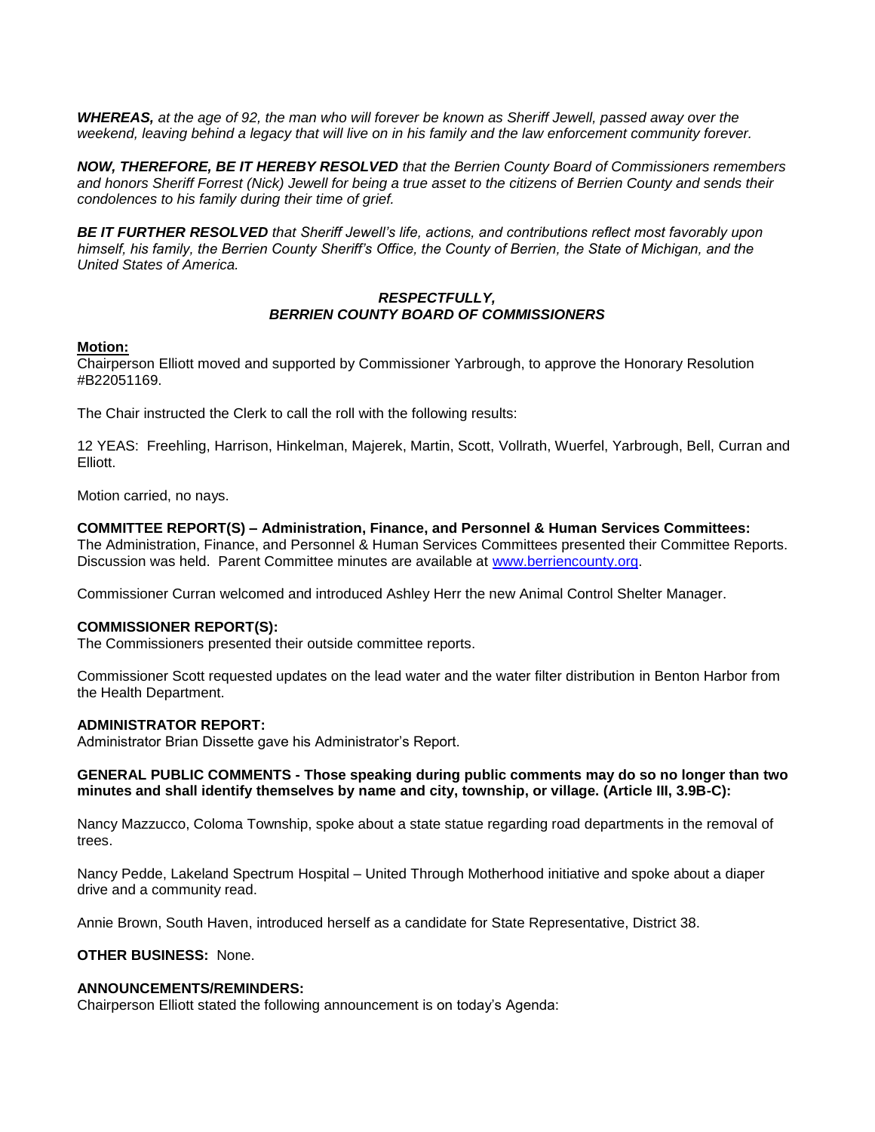*WHEREAS, at the age of 92, the man who will forever be known as Sheriff Jewell, passed away over the*  weekend, leaving behind a legacy that will live on in his family and the law enforcement community forever.

*NOW, THEREFORE, BE IT HEREBY RESOLVED that the Berrien County Board of Commissioners remembers and honors Sheriff Forrest (Nick) Jewell for being a true asset to the citizens of Berrien County and sends their condolences to his family during their time of grief.* 

*BE IT FURTHER RESOLVED that Sheriff Jewell's life, actions, and contributions reflect most favorably upon himself, his family, the Berrien County Sheriff's Office, the County of Berrien, the State of Michigan, and the United States of America.* 

### *RESPECTFULLY, BERRIEN COUNTY BOARD OF COMMISSIONERS*

#### **Motion:**

Chairperson Elliott moved and supported by Commissioner Yarbrough, to approve the Honorary Resolution #B22051169.

The Chair instructed the Clerk to call the roll with the following results:

12 YEAS: Freehling, Harrison, Hinkelman, Majerek, Martin, Scott, Vollrath, Wuerfel, Yarbrough, Bell, Curran and Elliott.

Motion carried, no nays.

### **COMMITTEE REPORT(S) – Administration, Finance, and Personnel & Human Services Committees:**

The Administration, Finance, and Personnel & Human Services Committees presented their Committee Reports. Discussion was held. Parent Committee minutes are available at [www.berriencounty.org.](http://www.berriencounty.org/)

Commissioner Curran welcomed and introduced Ashley Herr the new Animal Control Shelter Manager.

# **COMMISSIONER REPORT(S):**

The Commissioners presented their outside committee reports.

Commissioner Scott requested updates on the lead water and the water filter distribution in Benton Harbor from the Health Department.

#### **ADMINISTRATOR REPORT:**

Administrator Brian Dissette gave his Administrator's Report.

# **GENERAL PUBLIC COMMENTS - Those speaking during public comments may do so no longer than two minutes and shall identify themselves by name and city, township, or village. (Article III, 3.9B-C):**

Nancy Mazzucco, Coloma Township, spoke about a state statue regarding road departments in the removal of trees.

Nancy Pedde, Lakeland Spectrum Hospital – United Through Motherhood initiative and spoke about a diaper drive and a community read.

Annie Brown, South Haven, introduced herself as a candidate for State Representative, District 38.

### **OTHER BUSINESS:** None.

#### **ANNOUNCEMENTS/REMINDERS:**

Chairperson Elliott stated the following announcement is on today's Agenda: